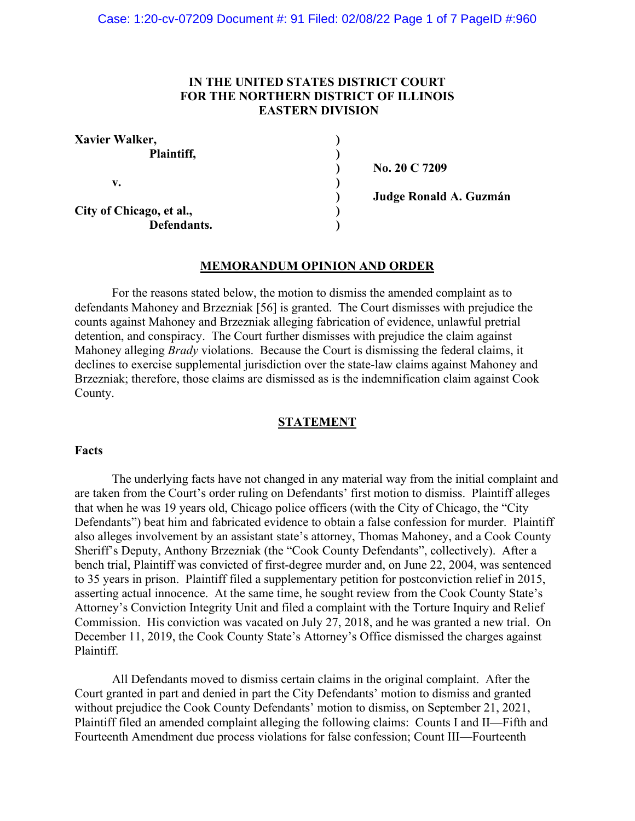## **IN THE UNITED STATES DISTRICT COURT FOR THE NORTHERN DISTRICT OF ILLINOIS EASTERN DIVISION**

| Xavier Walker,           |  |
|--------------------------|--|
| Plaintiff,               |  |
|                          |  |
| v.                       |  |
|                          |  |
| City of Chicago, et al., |  |
| Defendants.              |  |

**) No. 20 C 7209**

**) Judge Ronald A. Guzmán**

### **MEMORANDUM OPINION AND ORDER**

For the reasons stated below, the motion to dismiss the amended complaint as to defendants Mahoney and Brzezniak [56] is granted. The Court dismisses with prejudice the counts against Mahoney and Brzezniak alleging fabrication of evidence, unlawful pretrial detention, and conspiracy. The Court further dismisses with prejudice the claim against Mahoney alleging *Brady* violations. Because the Court is dismissing the federal claims, it declines to exercise supplemental jurisdiction over the state-law claims against Mahoney and Brzezniak; therefore, those claims are dismissed as is the indemnification claim against Cook County.

### **STATEMENT**

### **Facts**

The underlying facts have not changed in any material way from the initial complaint and are taken from the Court's order ruling on Defendants' first motion to dismiss. Plaintiff alleges that when he was 19 years old, Chicago police officers (with the City of Chicago, the "City Defendants") beat him and fabricated evidence to obtain a false confession for murder. Plaintiff also alleges involvement by an assistant state's attorney, Thomas Mahoney, and a Cook County Sheriff's Deputy, Anthony Brzezniak (the "Cook County Defendants", collectively). After a bench trial, Plaintiff was convicted of first-degree murder and, on June 22, 2004, was sentenced to 35 years in prison. Plaintiff filed a supplementary petition for postconviction relief in 2015, asserting actual innocence. At the same time, he sought review from the Cook County State's Attorney's Conviction Integrity Unit and filed a complaint with the Torture Inquiry and Relief Commission. His conviction was vacated on July 27, 2018, and he was granted a new trial. On December 11, 2019, the Cook County State's Attorney's Office dismissed the charges against Plaintiff.

All Defendants moved to dismiss certain claims in the original complaint. After the Court granted in part and denied in part the City Defendants' motion to dismiss and granted without prejudice the Cook County Defendants' motion to dismiss, on September 21, 2021, Plaintiff filed an amended complaint alleging the following claims: Counts I and II—Fifth and Fourteenth Amendment due process violations for false confession; Count III—Fourteenth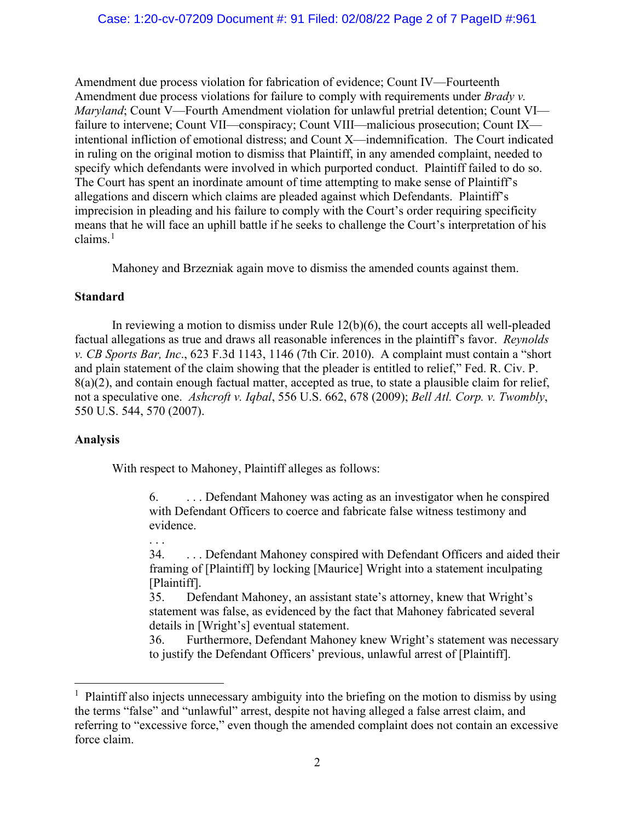Amendment due process violation for fabrication of evidence; Count IV—Fourteenth Amendment due process violations for failure to comply with requirements under *Brady v. Maryland*; Count V—Fourth Amendment violation for unlawful pretrial detention; Count VI failure to intervene; Count VII—conspiracy; Count VIII—malicious prosecution; Count IX intentional infliction of emotional distress; and Count X—indemnification. The Court indicated in ruling on the original motion to dismiss that Plaintiff, in any amended complaint, needed to specify which defendants were involved in which purported conduct. Plaintiff failed to do so. The Court has spent an inordinate amount of time attempting to make sense of Plaintiff's allegations and discern which claims are pleaded against which Defendants. Plaintiff's imprecision in pleading and his failure to comply with the Court's order requiring specificity means that he will face an uphill battle if he seeks to challenge the Court's interpretation of his claims.<sup>[1](#page-1-0)</sup>

Mahoney and Brzezniak again move to dismiss the amended counts against them.

## **Standard**

In reviewing a motion to dismiss under Rule 12(b)(6), the court accepts all well-pleaded factual allegations as true and draws all reasonable inferences in the plaintiff's favor. *Reynolds v. CB Sports Bar, Inc*., 623 F.3d 1143, 1146 (7th Cir. 2010). A complaint must contain a "short and plain statement of the claim showing that the pleader is entitled to relief," Fed. R. Civ. P. 8(a)(2), and contain enough factual matter, accepted as true, to state a plausible claim for relief, not a speculative one. *Ashcroft v. Iqbal*, 556 U.S. 662, 678 (2009); *Bell Atl. Corp. v. Twombly*, 550 U.S. 544, 570 (2007).

# **Analysis**

. . .

With respect to Mahoney, Plaintiff alleges as follows:

6. . . . Defendant Mahoney was acting as an investigator when he conspired with Defendant Officers to coerce and fabricate false witness testimony and evidence.

34. . . . Defendant Mahoney conspired with Defendant Officers and aided their framing of [Plaintiff] by locking [Maurice] Wright into a statement inculpating [Plaintiff].

35. Defendant Mahoney, an assistant state's attorney, knew that Wright's statement was false, as evidenced by the fact that Mahoney fabricated several details in [Wright's] eventual statement.

36. Furthermore, Defendant Mahoney knew Wright's statement was necessary to justify the Defendant Officers' previous, unlawful arrest of [Plaintiff].

<span id="page-1-0"></span><sup>&</sup>lt;sup>1</sup> Plaintiff also injects unnecessary ambiguity into the briefing on the motion to dismiss by using the terms "false" and "unlawful" arrest, despite not having alleged a false arrest claim, and referring to "excessive force," even though the amended complaint does not contain an excessive force claim.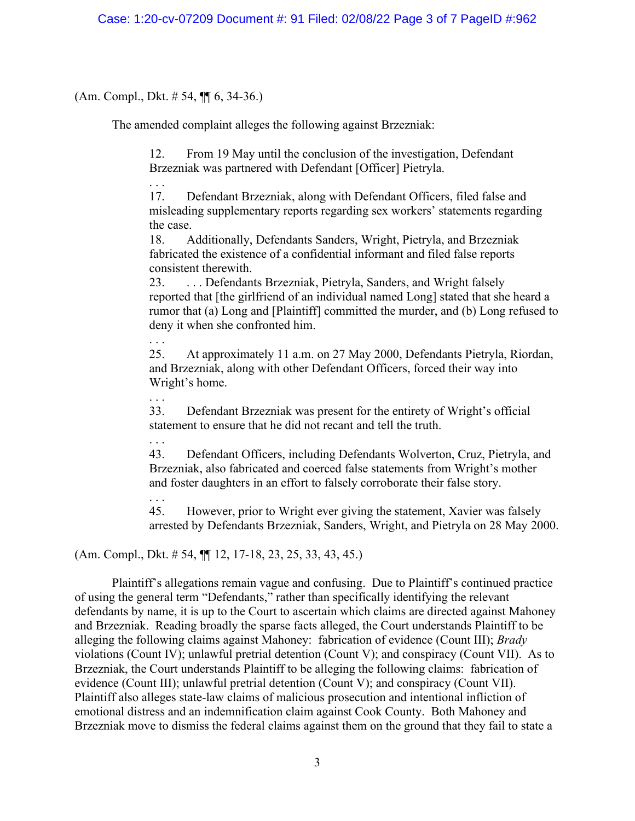(Am. Compl., Dkt. # 54, ¶¶ 6, 34-36.)

. . .

. . .

. . .

The amended complaint alleges the following against Brzezniak:

12. From 19 May until the conclusion of the investigation, Defendant Brzezniak was partnered with Defendant [Officer] Pietryla.

17. Defendant Brzezniak, along with Defendant Officers, filed false and misleading supplementary reports regarding sex workers' statements regarding the case.

18. Additionally, Defendants Sanders, Wright, Pietryla, and Brzezniak fabricated the existence of a confidential informant and filed false reports consistent therewith.

23. . . . Defendants Brzezniak, Pietryla, Sanders, and Wright falsely reported that [the girlfriend of an individual named Long] stated that she heard a rumor that (a) Long and [Plaintiff] committed the murder, and (b) Long refused to deny it when she confronted him.

25. At approximately 11 a.m. on 27 May 2000, Defendants Pietryla, Riordan, and Brzezniak, along with other Defendant Officers, forced their way into Wright's home.

. . . 33. Defendant Brzezniak was present for the entirety of Wright's official statement to ensure that he did not recant and tell the truth.

43. Defendant Officers, including Defendants Wolverton, Cruz, Pietryla, and Brzezniak, also fabricated and coerced false statements from Wright's mother and foster daughters in an effort to falsely corroborate their false story.

. . . 45. However, prior to Wright ever giving the statement, Xavier was falsely arrested by Defendants Brzezniak, Sanders, Wright, and Pietryla on 28 May 2000.

(Am. Compl., Dkt. # 54, ¶¶ 12, 17-18, 23, 25, 33, 43, 45.)

Plaintiff's allegations remain vague and confusing. Due to Plaintiff's continued practice of using the general term "Defendants," rather than specifically identifying the relevant defendants by name, it is up to the Court to ascertain which claims are directed against Mahoney and Brzezniak. Reading broadly the sparse facts alleged, the Court understands Plaintiff to be alleging the following claims against Mahoney: fabrication of evidence (Count III); *Brady* violations (Count IV); unlawful pretrial detention (Count V); and conspiracy (Count VII). As to Brzezniak, the Court understands Plaintiff to be alleging the following claims: fabrication of evidence (Count III); unlawful pretrial detention (Count V); and conspiracy (Count VII). Plaintiff also alleges state-law claims of malicious prosecution and intentional infliction of emotional distress and an indemnification claim against Cook County. Both Mahoney and Brzezniak move to dismiss the federal claims against them on the ground that they fail to state a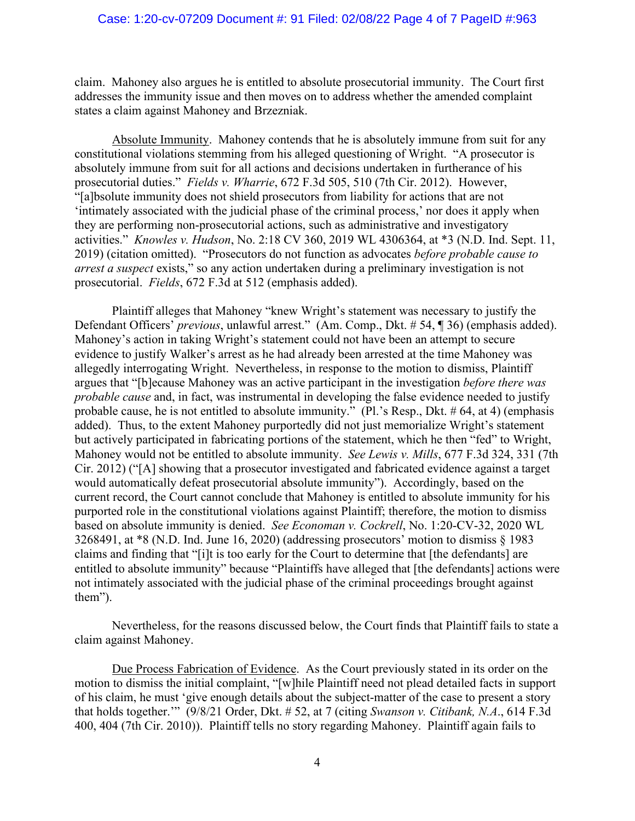### Case: 1:20-cv-07209 Document #: 91 Filed: 02/08/22 Page 4 of 7 PageID #:963

claim. Mahoney also argues he is entitled to absolute prosecutorial immunity. The Court first addresses the immunity issue and then moves on to address whether the amended complaint states a claim against Mahoney and Brzezniak.

Absolute Immunity. Mahoney contends that he is absolutely immune from suit for any constitutional violations stemming from his alleged questioning of Wright. "A prosecutor is absolutely immune from suit for all actions and decisions undertaken in furtherance of his prosecutorial duties." *Fields v. Wharrie*, 672 F.3d 505, 510 (7th Cir. 2012). However, "[a]bsolute immunity does not shield prosecutors from liability for actions that are not 'intimately associated with the judicial phase of the criminal process,' nor does it apply when they are performing non-prosecutorial actions, such as administrative and investigatory activities." *Knowles v. Hudson*, No. 2:18 CV 360, 2019 WL 4306364, at \*3 (N.D. Ind. Sept. 11, 2019) (citation omitted). "Prosecutors do not function as advocates *before probable cause to arrest a suspect* exists," so any action undertaken during a preliminary investigation is not prosecutorial. *Fields*, 672 F.3d at 512 (emphasis added).

Plaintiff alleges that Mahoney "knew Wright's statement was necessary to justify the Defendant Officers' *previous*, unlawful arrest." (Am. Comp., Dkt. # 54, ¶ 36) (emphasis added). Mahoney's action in taking Wright's statement could not have been an attempt to secure evidence to justify Walker's arrest as he had already been arrested at the time Mahoney was allegedly interrogating Wright. Nevertheless, in response to the motion to dismiss, Plaintiff argues that "[b]ecause Mahoney was an active participant in the investigation *before there was probable cause* and, in fact, was instrumental in developing the false evidence needed to justify probable cause, he is not entitled to absolute immunity." (Pl.'s Resp., Dkt. # 64, at 4) (emphasis added). Thus, to the extent Mahoney purportedly did not just memorialize Wright's statement but actively participated in fabricating portions of the statement, which he then "fed" to Wright, Mahoney would not be entitled to absolute immunity. *See Lewis v. Mills*, 677 F.3d 324, 331 (7th Cir. 2012) ("[A] showing that a prosecutor investigated and fabricated evidence against a target would automatically defeat prosecutorial absolute immunity"). Accordingly, based on the current record, the Court cannot conclude that Mahoney is entitled to absolute immunity for his purported role in the constitutional violations against Plaintiff; therefore, the motion to dismiss based on absolute immunity is denied. *See Economan v. Cockrell*, No. 1:20-CV-32, 2020 WL 3268491, at \*8 (N.D. Ind. June 16, 2020) (addressing prosecutors' motion to dismiss § 1983 claims and finding that "[i]t is too early for the Court to determine that [the defendants] are entitled to absolute immunity" because "Plaintiffs have alleged that [the defendants] actions were not intimately associated with the judicial phase of the criminal proceedings brought against them").

Nevertheless, for the reasons discussed below, the Court finds that Plaintiff fails to state a claim against Mahoney.

Due Process Fabrication of Evidence. As the Court previously stated in its order on the motion to dismiss the initial complaint, "[w]hile Plaintiff need not plead detailed facts in support of his claim, he must 'give enough details about the subject-matter of the case to present a story that holds together.'" (9/8/21 Order, Dkt. # 52, at 7 (citing *Swanson v. Citibank, N.A*., 614 F.3d 400, 404 (7th Cir. 2010)). Plaintiff tells no story regarding Mahoney. Plaintiff again fails to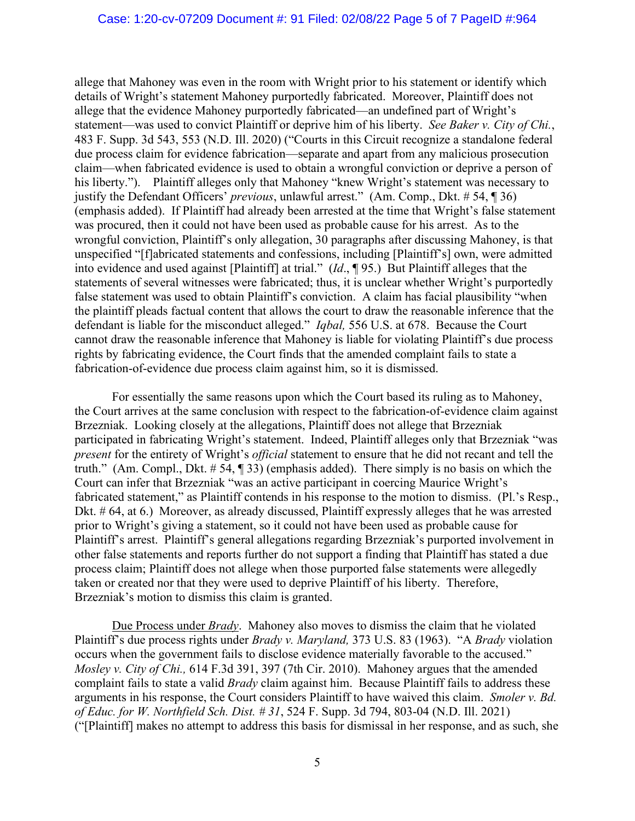allege that Mahoney was even in the room with Wright prior to his statement or identify which details of Wright's statement Mahoney purportedly fabricated. Moreover, Plaintiff does not allege that the evidence Mahoney purportedly fabricated—an undefined part of Wright's statement—was used to convict Plaintiff or deprive him of his liberty. *See Baker v. City of Chi.*, 483 F. Supp. 3d 543, 553 (N.D. Ill. 2020) ("Courts in this Circuit recognize a standalone federal due process claim for evidence fabrication—separate and apart from any malicious prosecution claim—when fabricated evidence is used to obtain a wrongful conviction or deprive a person of his liberty."). Plaintiff alleges only that Mahoney "knew Wright's statement was necessary to justify the Defendant Officers' *previous*, unlawful arrest." (Am. Comp., Dkt. # 54, ¶ 36) (emphasis added). If Plaintiff had already been arrested at the time that Wright's false statement was procured, then it could not have been used as probable cause for his arrest. As to the wrongful conviction, Plaintiff's only allegation, 30 paragraphs after discussing Mahoney, is that unspecified "[f]abricated statements and confessions, including [Plaintiff's] own, were admitted into evidence and used against [Plaintiff] at trial." (*Id*., ¶ 95.) But Plaintiff alleges that the statements of several witnesses were fabricated; thus, it is unclear whether Wright's purportedly false statement was used to obtain Plaintiff's conviction. A claim has facial plausibility "when the plaintiff pleads factual content that allows the court to draw the reasonable inference that the defendant is liable for the misconduct alleged." *Iqbal,* 556 U.S. at 678. Because the Court cannot draw the reasonable inference that Mahoney is liable for violating Plaintiff's due process rights by fabricating evidence, the Court finds that the amended complaint fails to state a fabrication-of-evidence due process claim against him, so it is dismissed.

For essentially the same reasons upon which the Court based its ruling as to Mahoney, the Court arrives at the same conclusion with respect to the fabrication-of-evidence claim against Brzezniak. Looking closely at the allegations, Plaintiff does not allege that Brzezniak participated in fabricating Wright's statement. Indeed, Plaintiff alleges only that Brzezniak "was *present* for the entirety of Wright's *official* statement to ensure that he did not recant and tell the truth." (Am. Compl., Dkt. # 54, ¶ 33) (emphasis added). There simply is no basis on which the Court can infer that Brzezniak "was an active participant in coercing Maurice Wright's fabricated statement," as Plaintiff contends in his response to the motion to dismiss. (Pl.'s Resp., Dkt. # 64, at 6.) Moreover, as already discussed, Plaintiff expressly alleges that he was arrested prior to Wright's giving a statement, so it could not have been used as probable cause for Plaintiff's arrest. Plaintiff's general allegations regarding Brzezniak's purported involvement in other false statements and reports further do not support a finding that Plaintiff has stated a due process claim; Plaintiff does not allege when those purported false statements were allegedly taken or created nor that they were used to deprive Plaintiff of his liberty. Therefore, Brzezniak's motion to dismiss this claim is granted.

Due Process under *Brady*. Mahoney also moves to dismiss the claim that he violated Plaintiff's due process rights under *Brady v. Maryland,* 373 U.S. 83 (1963). "A *Brady* violation occurs when the government fails to disclose evidence materially favorable to the accused." *Mosley v. City of Chi.,* 614 F.3d 391, 397 (7th Cir. 2010). Mahoney argues that the amended complaint fails to state a valid *Brady* claim against him. Because Plaintiff fails to address these arguments in his response, the Court considers Plaintiff to have waived this claim. *Smoler v. Bd. of Educ. for W. Northfield Sch. Dist. # 31*, 524 F. Supp. 3d 794, 803-04 (N.D. Ill. 2021) ("[Plaintiff] makes no attempt to address this basis for dismissal in her response, and as such, she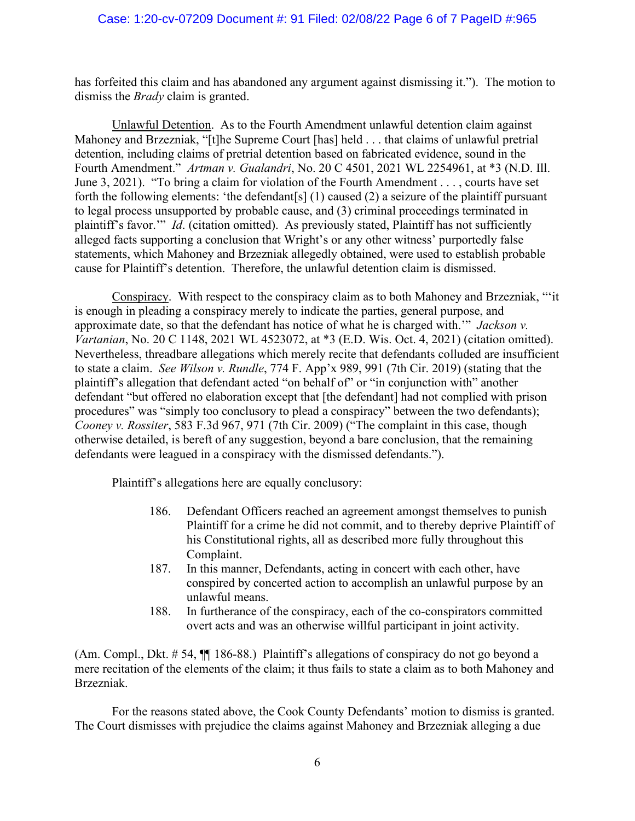has forfeited this claim and has abandoned any argument against dismissing it."). The motion to dismiss the *Brady* claim is granted.

Unlawful Detention. As to the Fourth Amendment unlawful detention claim against Mahoney and Brzezniak, "[t]he Supreme Court [has] held . . . that claims of unlawful pretrial detention, including claims of pretrial detention based on fabricated evidence, sound in the Fourth Amendment." *Artman v. Gualandri*, No. 20 C 4501, 2021 WL 2254961, at \*3 (N.D. Ill. June 3, 2021). "To bring a claim for violation of the Fourth Amendment . . . , courts have set forth the following elements: 'the defendant[s] (1) caused (2) a seizure of the plaintiff pursuant to legal process unsupported by probable cause, and (3) criminal proceedings terminated in plaintiff's favor.'" *Id*. (citation omitted). As previously stated, Plaintiff has not sufficiently alleged facts supporting a conclusion that Wright's or any other witness' purportedly false statements, which Mahoney and Brzezniak allegedly obtained, were used to establish probable cause for Plaintiff's detention. Therefore, the unlawful detention claim is dismissed.

Conspiracy. With respect to the conspiracy claim as to both Mahoney and Brzezniak, "'it is enough in pleading a conspiracy merely to indicate the parties, general purpose, and approximate date, so that the defendant has notice of what he is charged with.'" *Jackson v. Vartanian*, No. 20 C 1148, 2021 WL 4523072, at \*3 (E.D. Wis. Oct. 4, 2021) (citation omitted). Nevertheless, threadbare allegations which merely recite that defendants colluded are insufficient to state a claim. *See Wilson v. Rundle*, 774 F. App'x 989, 991 (7th Cir. 2019) (stating that the plaintiff's allegation that defendant acted "on behalf of" or "in conjunction with" another defendant "but offered no elaboration except that [the defendant] had not complied with prison procedures" was "simply too conclusory to plead a conspiracy" between the two defendants); *Cooney v. Rossiter*, 583 F.3d 967, 971 (7th Cir. 2009) ("The complaint in this case, though otherwise detailed, is bereft of any suggestion, beyond a bare conclusion, that the remaining defendants were leagued in a conspiracy with the dismissed defendants.").

Plaintiff's allegations here are equally conclusory:

- 186. Defendant Officers reached an agreement amongst themselves to punish Plaintiff for a crime he did not commit, and to thereby deprive Plaintiff of his Constitutional rights, all as described more fully throughout this Complaint.
- 187. In this manner, Defendants, acting in concert with each other, have conspired by concerted action to accomplish an unlawful purpose by an unlawful means.
- 188. In furtherance of the conspiracy, each of the co-conspirators committed overt acts and was an otherwise willful participant in joint activity.

(Am. Compl., Dkt. # 54, ¶¶ 186-88.) Plaintiff's allegations of conspiracy do not go beyond a mere recitation of the elements of the claim; it thus fails to state a claim as to both Mahoney and Brzezniak.

For the reasons stated above, the Cook County Defendants' motion to dismiss is granted. The Court dismisses with prejudice the claims against Mahoney and Brzezniak alleging a due